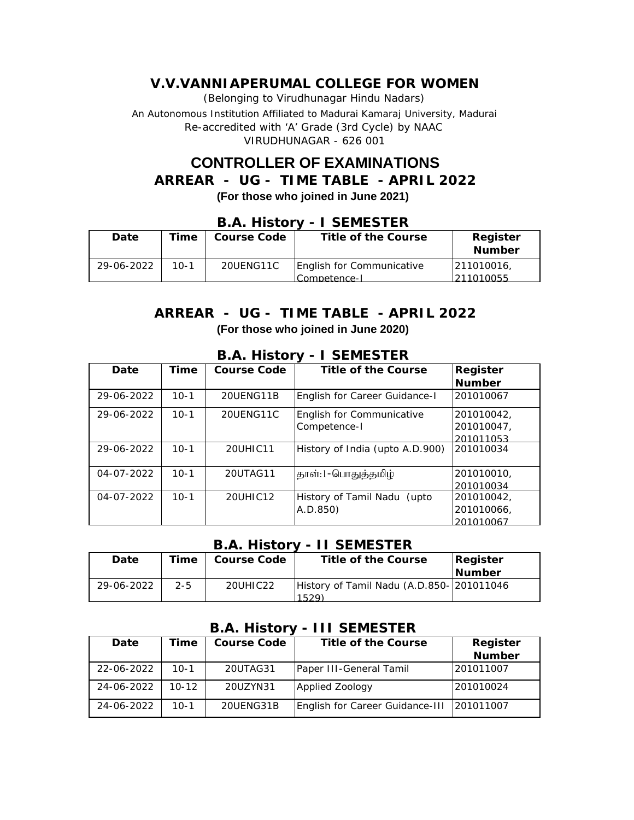(Belonging to Virudhunagar Hindu Nadars) An Autonomous Institution Affiliated to Madurai Kamaraj University, Madurai *Re-accredited with 'A' Grade (3rd Cycle) by NAAC* VIRUDHUNAGAR - 626 001

# **CONTROLLER OF EXAMINATIONS**

**ARREAR - UG - TIME TABLE - APRIL 2022**

**(For those who joined in June 2021)**

### **B.A. History - I SEMESTER**

| Date       | Time   | Course Code | Title of the Course                       | Register<br><b>Number</b> |
|------------|--------|-------------|-------------------------------------------|---------------------------|
| 29-06-2022 | $10-1$ | 20UENG11C   | English for Communicative<br>Competence-I | 1211010016.<br>211010055  |

## **ARREAR - UG - TIME TABLE - APRIL 2022 (For those who joined in June 2020)**

#### **B.A. History - I SEMESTER**

| Date       | Time     | Course Code | Title of the Course             | Register   |
|------------|----------|-------------|---------------------------------|------------|
|            |          |             |                                 | Number     |
| 29-06-2022 | $10-1$   | 20UENG11B   | English for Career Guidance-I   | 201010067  |
| 29-06-2022 | $10 - 1$ | 20UENG11C   | English for Communicative       | 201010042  |
|            |          |             | Competence-I                    | 201010047, |
|            |          |             |                                 | 201011053  |
| 29-06-2022 | $10 - 1$ | 20UHIC11    | History of India (upto A.D.900) | 201010034  |
| 04-07-2022 | $10 - 1$ | 20UTAG11    | தாள்:1-பொதுத்தமிழ்              | 201010010  |
|            |          |             |                                 | 201010034  |
| 04-07-2022 | $10 - 1$ | 20UHIC12    | History of Tamil Nadu (upto     | 201010042. |
|            |          |             | A.D.850)                        | 201010066, |
|            |          |             |                                 | 201010067  |

#### **B.A. History - II SEMESTER**

| Date       | Time    | Course Code | Title of the Course                      | Register      |
|------------|---------|-------------|------------------------------------------|---------------|
|            |         |             |                                          | <b>Number</b> |
| 29-06-2022 | $2 - 5$ | 20UHIC22    | History of Tamil Nadu (A.D.850-201011046 |               |
|            |         |             | 1529                                     |               |

#### **B.A. History - III SEMESTER**

| Date       | Time      | Course Code | Title of the Course             | Register  |
|------------|-----------|-------------|---------------------------------|-----------|
|            |           |             |                                 | Number    |
| 22-06-2022 | $10-1$    | 20UTAG31    | Paper III-General Tamil         | 201011007 |
| 24-06-2022 | $10 - 12$ | 20UZYN31    | Applied Zoology                 | 201010024 |
| 24-06-2022 | $10 - 1$  | 20UENG31B   | English for Career Guidance-III | 201011007 |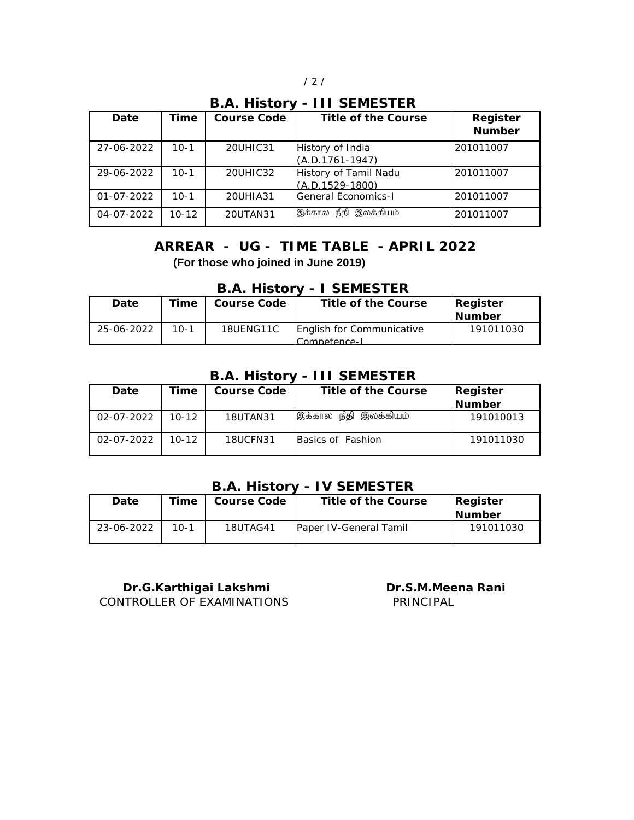#### **B.A. History - III SEMESTER**

| Date             | Time     | Course Code | Title of the Course                        | Register<br>Number |
|------------------|----------|-------------|--------------------------------------------|--------------------|
| 27-06-2022       | $10-1$   | 20UHIC31    | History of India<br>$(A.D.1761-1947)$      | 201011007          |
| 29-06-2022       | $10-1$   | 20UHIC32    | History of Tamil Nadu<br>$(A.D.1529-1800)$ | 201011007          |
| $01 - 07 - 2022$ | $10 - 1$ | 20UHIA31    | General Economics-I                        | 201011007          |
| 04-07-2022       | $10-12$  | 20UTAN31    | இக்கால நீதி<br>இலக்கியம்                   | 201011007          |

# **(For those who joined in June 2019) ARREAR - UG - TIME TABLE - APRIL 2022**

|--|

| Date       | Time   | Course Code | Title of the Course                       | Register<br>INumber |
|------------|--------|-------------|-------------------------------------------|---------------------|
| 25-06-2022 | $10-1$ | 18UENG11C   | English for Communicative<br>Comnetence-l | 191011030           |

#### **B.A. History - III SEMESTER**

| Date       | Time      | Course Code     | Title of the Course   | Register      |
|------------|-----------|-----------------|-----------------------|---------------|
|            |           |                 |                       | <b>Number</b> |
| 02-07-2022 | $10 - 12$ | 18UTAN31        | இக்கால நீதி இலக்கியம் | 191010013     |
| 02-07-2022 | $10 - 12$ | <b>18UCFN31</b> | Basics of Fashion     | 191011030     |

# **B.A. History - IV SEMESTER**

| Date       | $T$ ime | Course Code | Title of the Course            | Register       |
|------------|---------|-------------|--------------------------------|----------------|
|            |         |             |                                | <b>INumber</b> |
| 23-06-2022 | $10-1$  | 18UTAG41    | <b>IPaper IV-General Tamil</b> | 191011030      |
|            |         |             |                                |                |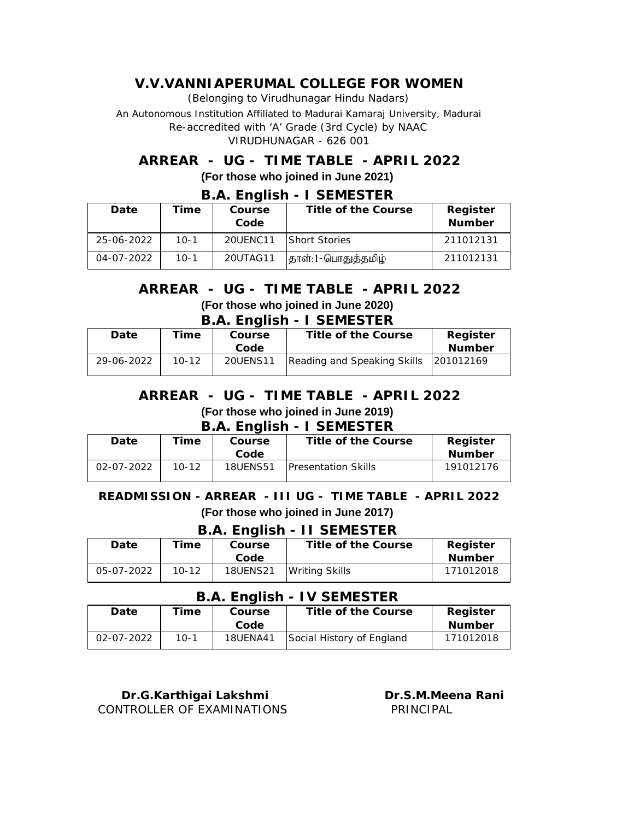(Belonging to Virudhunagar Hindu Nadars)

An Autonomous Institution Affiliated to Madurai Kamaraj University, Madurai *Re-accredited with 'A' Grade (3rd Cycle) by NAAC* VIRUDHUNAGAR - 626 001

# **ARREAR - UG - TIME TABLE - APRIL 2022 (For those who joined in June 2021)**

| Date       | Time   | Course<br>Code | D.A. LIIGIISIT - I JEIVILJI EN<br>Title of the Course | Register<br>Number |
|------------|--------|----------------|-------------------------------------------------------|--------------------|
| 25-06-2022 | $10-1$ | 20UFNC11       | <b>Short Stories</b>                                  | 211012131          |
| 04-07-2022 | 10-1   | 20UTAG11       | தாள்:1-பொதுத்தமிழ்                                    | 211012131          |

## **B.A. English - I SEMESTER**

#### **B.A. English - I SEMESTER (For those who joined in June 2020) ARREAR - UG - TIME TABLE - APRIL 2022**

| Title of the Course                   |               |
|---------------------------------------|---------------|
|                                       | Register      |
|                                       | <b>Number</b> |
| Reading and Speaking Skills 201012169 |               |
|                                       |               |

## **ARREAR - UG - TIME TABLE - APRIL 2022 (For those who joined in June 2019)**

**B.A. English - I SEMESTER**

| Date             | 'ime      | Course          | Title of the Course         | Register  |
|------------------|-----------|-----------------|-----------------------------|-----------|
|                  |           | Code            |                             | Number    |
| $02 - 07 - 2022$ | $10 - 12$ | <b>18UENS51</b> | <b>IPresentation Skills</b> | 191012176 |

#### **READMISSION - ARREAR - III UG - TIME TABLE - APRIL 2022 (For those who joined in June 2017)**

#### **B.A. English - II SEMESTER**

| Date       | 'ime      | Course          | Title of the Course   | Register  |  |
|------------|-----------|-----------------|-----------------------|-----------|--|
|            |           | Code            |                       | Number    |  |
| 05-07-2022 | $10 - 12$ | <b>18UENS21</b> | <b>Writing Skills</b> | 171012018 |  |

#### **B.A. English - IV SEMESTER**

|            |      | ------------- | .                         |               |
|------------|------|---------------|---------------------------|---------------|
| Date       | -ime | Course        | Title of the Course       | Register      |
|            |      | Code          |                           | <b>Number</b> |
| 02-07-2022 | 10-1 | 18UENA41      | Social History of England | 171012018     |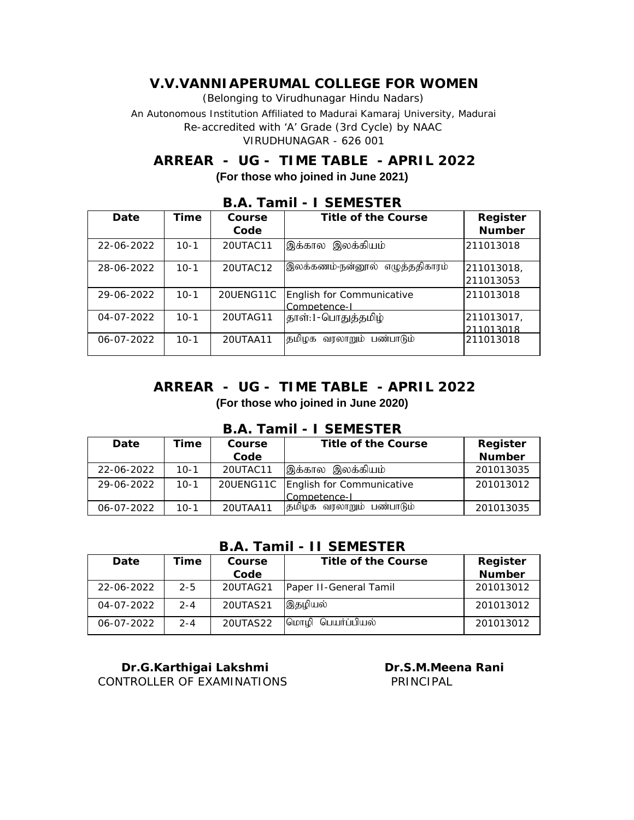# **ARREAR - UG - TIME TABLE - APRIL 2022 (For those who joined in June 2021)**

| Date             | Time   | Course    | Title of the Course                       | Register   |
|------------------|--------|-----------|-------------------------------------------|------------|
|                  |        | Code      |                                           | Number     |
| 22-06-2022       | $10-1$ | 20UTAC11  | இலக்கியம்<br>இக்கால                       | 211013018  |
| 28-06-2022       | $10-1$ | 20UTAC12  | இலக்கணம்-நன்னூல்<br>எழுத்ததிகாரம்         | 211013018, |
|                  |        |           |                                           | 211013053  |
| 29-06-2022       | $10-1$ | 20UENG11C | English for Communicative<br>Competence-I | 211013018  |
| $04 - 07 - 2022$ | $10-1$ | 20UTAG11  | தாள்:1-பொதுத்தமிழ்                        | 211013017, |
|                  |        |           |                                           | 211013018  |
| 06-07-2022       | $10-1$ | 20UTAA11  | தமிழக வரலாறும் பண்பாடும்                  | 211013018  |

#### **B.A. Tamil - I SEMESTER**

### **ARREAR - UG - TIME TABLE - APRIL 2022 (For those who joined in June 2020)**

| Date       | Time     | Course   | Title of the Course                 | Register  |  |
|------------|----------|----------|-------------------------------------|-----------|--|
|            |          | Code     |                                     | Number    |  |
| 22-06-2022 | $10-1$   | 20UTAC11 | இக்கால இலக்கியம்                    | 201013035 |  |
| 29-06-2022 | $10-1$   |          | 20UENG11C English for Communicative | 201013012 |  |
|            |          |          | Competence-I                        |           |  |
| 06-07-2022 | $10 - 1$ | 20UTAA11 | பண்பாடும்<br>தமிழக வரலாறும்         | 201013035 |  |

### **B.A. Tamil - I SEMESTER**

#### **B.A. Tamil - II SEMESTER**

| Date             | īme     | Course   | Title of the Course    | Register  |
|------------------|---------|----------|------------------------|-----------|
|                  |         | Code     |                        | Number    |
| 22-06-2022       | $2 - 5$ | 20UTAG21 | Paper II-General Tamil | 201013012 |
| $04 - 07 - 2022$ | $2 - 4$ | 20UTAS21 | இதழியல்                | 201013012 |
| 06-07-2022       | $2 - 4$ | 20UTAS22 | பெயர்ப்பியல்<br>மொமி   | 201013012 |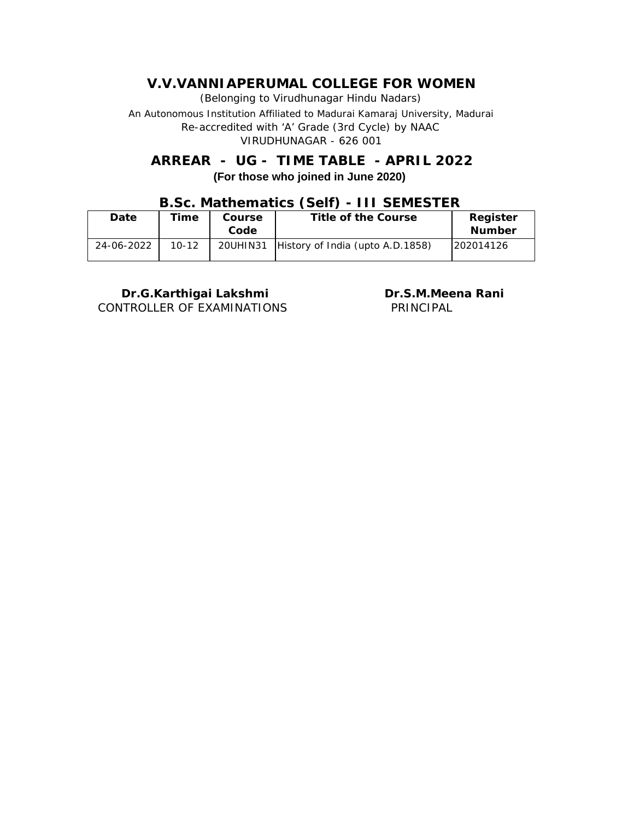# **ARREAR - UG - TIME TABLE - APRIL 2022 (For those who joined in June 2020)**

# **B.Sc. Mathematics (Self) - III SEMESTER**

| Date       | Time      | Course   | Title of the Course              | Register      |
|------------|-----------|----------|----------------------------------|---------------|
|            |           | Code     |                                  | <b>Number</b> |
| 24-06-2022 | $10 - 12$ | 20UHIN31 | History of India (upto A.D.1858) | 202014126     |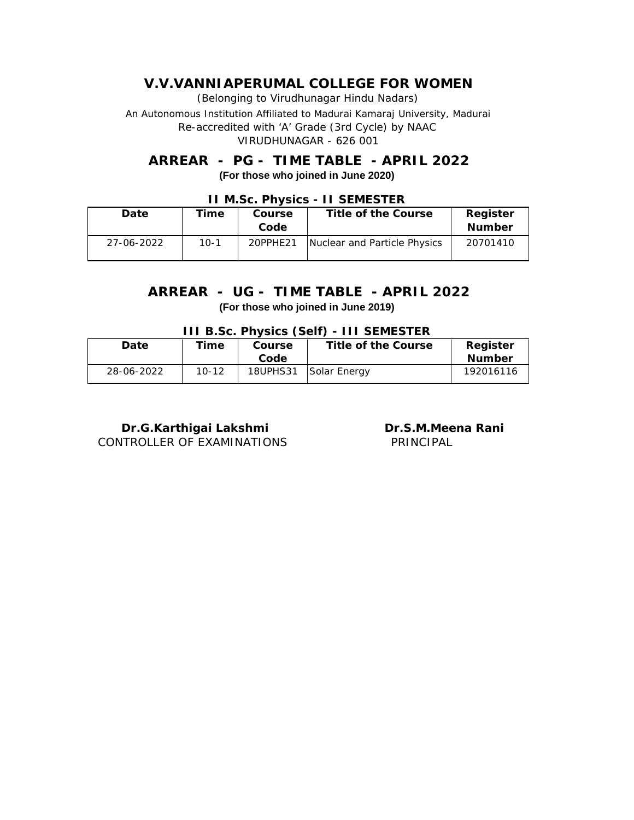(Belonging to Virudhunagar Hindu Nadars)

An Autonomous Institution Affiliated to Madurai Kamaraj University, Madurai *Re-accredited with 'A' Grade (3rd Cycle) by NAAC* VIRUDHUNAGAR - 626 001

### **(For those who joined in June 2020) ARREAR - PG - TIME TABLE - APRIL 2022**

| LI IVII.OUI LITYOIUO<br><u> 11 JENILJI LIV</u> |        |          |                              |               |  |  |
|------------------------------------------------|--------|----------|------------------------------|---------------|--|--|
| Date                                           | Time   | Course   | Title of the Course          | Register      |  |  |
|                                                |        | Code     |                              | <b>Number</b> |  |  |
| 27-06-2022                                     | $10-1$ | 20PPHE21 | Nuclear and Particle Physics | 20701410      |  |  |
|                                                |        |          |                              |               |  |  |

#### **II M.Sc. Physics - II SEMESTER**

### **(For those who joined in June 2019) ARREAR - UG - TIME TABLE - APRIL 2022**

|  | III B.Sc. Physics (Self) - III SEMESTER |  |
|--|-----------------------------------------|--|
|--|-----------------------------------------|--|

| Date       | $\tau$ ime | Course          | Title of the Course | Register  |
|------------|------------|-----------------|---------------------|-----------|
|            |            | Code            |                     | Number    |
| 28-06-2022 | $10 - 12$  | <b>18UPHS31</b> | Solar Energy        | 192016116 |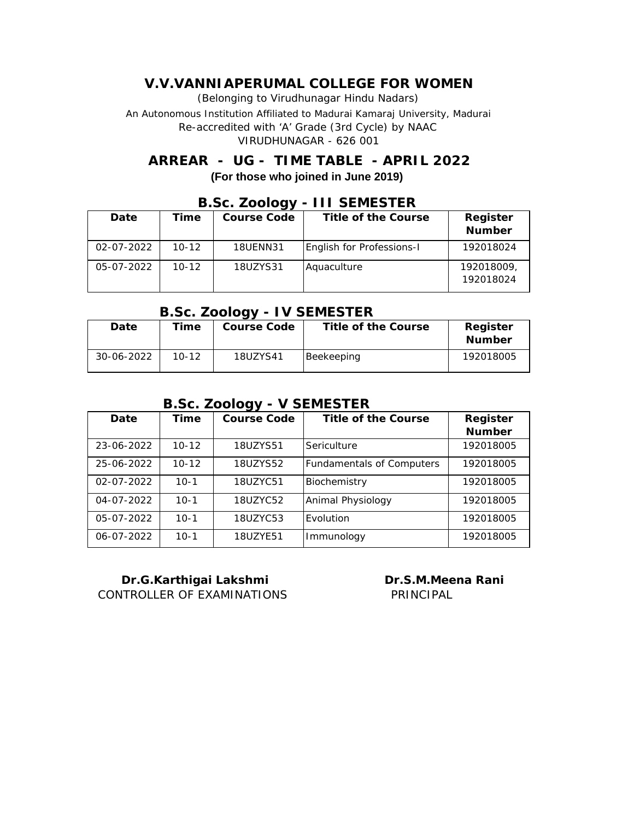(Belonging to Virudhunagar Hindu Nadars)

An Autonomous Institution Affiliated to Madurai Kamaraj University, Madurai *Re-accredited with 'A' Grade (3rd Cycle) by NAAC* VIRUDHUNAGAR - 626 001

## **ARREAR - UG - TIME TABLE - APRIL 2022 (For those who joined in June 2019)**

|            |           | $-0.001$ $-0.009$ |                           |            |
|------------|-----------|-------------------|---------------------------|------------|
| Date       | Time      | Course Code       | Title of the Course       | Register   |
|            |           |                   |                           | Number     |
| 02-07-2022 | $10 - 12$ | <b>18UENN31</b>   | English for Professions-I | 192018024  |
| 05-07-2022 | $10 - 12$ | 18UZYS31          | Aquaculture               | 192018009, |
|            |           |                   |                           | 192018024  |
|            |           |                   |                           |            |

#### **B.Sc. Zoology - III SEMESTER**

#### **B.Sc. Zoology - IV SEMESTER**

| Date       | Time      | ັ<br>Course Code | Title of the Course | Register<br>Number |
|------------|-----------|------------------|---------------------|--------------------|
| 30-06-2022 | $10 - 12$ | 18UZYS41         | Beekeeping          | 192018005          |

### **B.Sc. Zoology - V SEMESTER**

| Date             | Time      | Course Code | Title of the Course              | Register  |
|------------------|-----------|-------------|----------------------------------|-----------|
|                  |           |             |                                  | Number    |
| 23-06-2022       | $10 - 12$ | 18UZYS51    | Sericulture                      | 192018005 |
| 25-06-2022       | $10 - 12$ | 18UZYS52    | <b>Fundamentals of Computers</b> | 192018005 |
| $02 - 07 - 2022$ | $10 - 1$  | 18UZYC51    | Biochemistry                     | 192018005 |
| $04 - 07 - 2022$ | $10-1$    | 18UZYC52    | Animal Physiology                | 192018005 |
| 05-07-2022       | $10 - 1$  | 18UZYC53    | Evolution                        | 192018005 |
| 06-07-2022       | $10 - 1$  | 18UZYE51    | Immunology                       | 192018005 |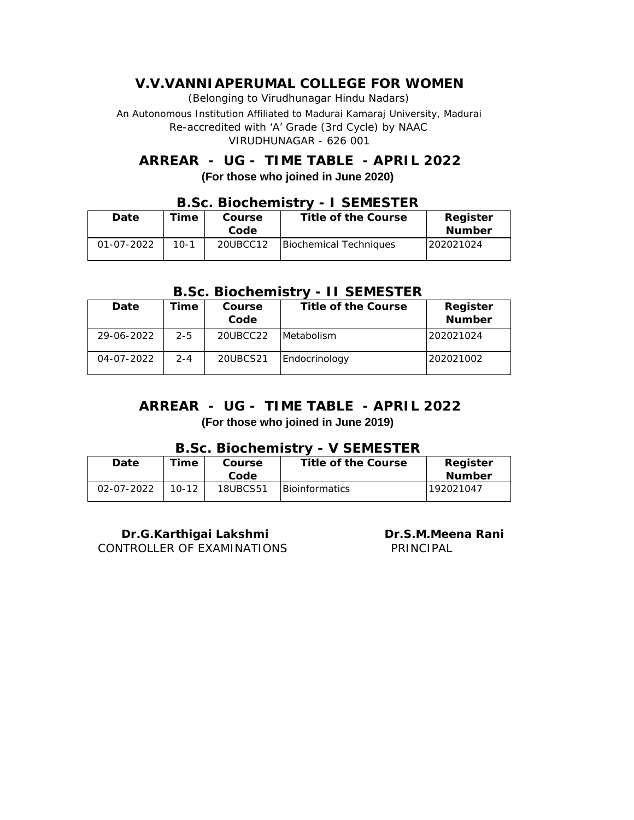**ARREAR - UG - TIME TABLE - APRIL 2022 (For those who joined in June 2020)**

|              | 5.99. DIOGITULIJU V |        |                     |                        |               |  |  |
|--------------|---------------------|--------|---------------------|------------------------|---------------|--|--|
| Date<br>Time |                     | Course | Title of the Course | Register               |               |  |  |
|              |                     |        | Code                |                        | <b>Number</b> |  |  |
|              | 01-07-2022          | $10-1$ | 20UBCC12            | Biochemical Techniques | 202021024     |  |  |

# **B.Sc. Biochemistry - I SEMESTER**

#### **B.Sc. Biochemistry - II SEMESTER**

| Date             | Гіmе    | Course<br>Code | Title of the Course | Register<br>Number |
|------------------|---------|----------------|---------------------|--------------------|
| 29-06-2022       | $2 - 5$ | 20UBCC22       | <b>IMetabolism</b>  | 202021024          |
| $04 - 07 - 2022$ | $2 - 4$ | 20UBCS21       | Endocrinology       | 202021002          |

### **(For those who joined in June 2019) ARREAR - UG - TIME TABLE - APRIL 2022**

#### **B.Sc. Biochemistry - V SEMESTER**

| Date             | $\tau$ ime | Course   | Title of the Course    | Register  |
|------------------|------------|----------|------------------------|-----------|
|                  |            | Code     |                        | Number    |
| $02 - 07 - 2022$ | $10 - 12$  | 18UBCS51 | <b>IBioinformatics</b> | 192021047 |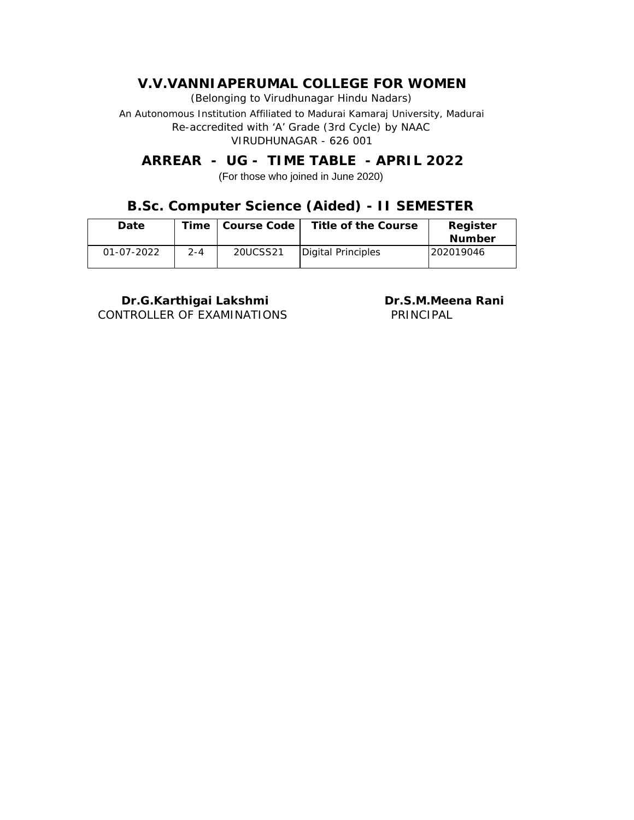**ARREAR - UG - TIME TABLE - APRIL 2022** (For those who joined in June 2020)

### **B.Sc. Computer Science (Aided) - II SEMESTER**

| Date             | Time    | Course Code | Title of the Course | Register   |
|------------------|---------|-------------|---------------------|------------|
|                  |         |             |                     | Number     |
| $01 - 07 - 2022$ | $2 - 4$ | 20UCSS21    | Digital Principles  | 1202019046 |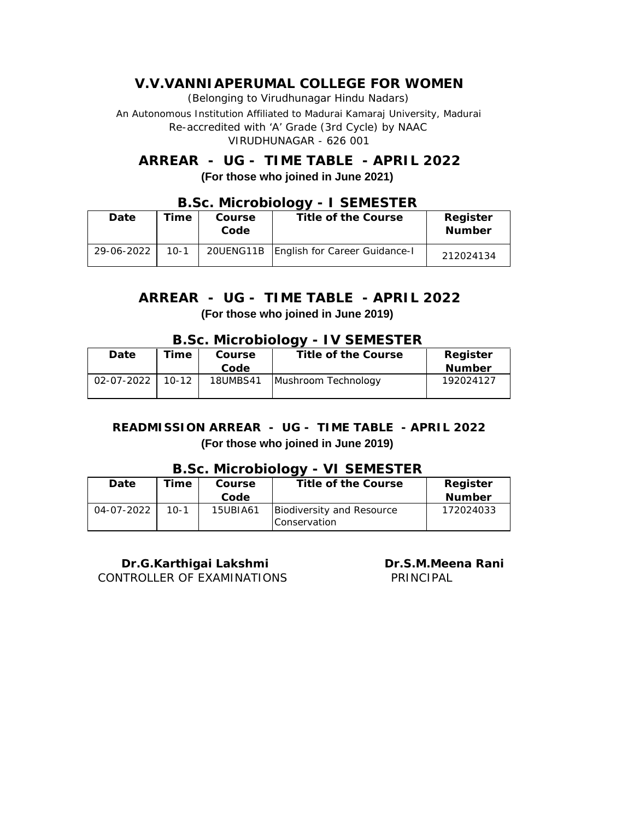(Belonging to Virudhunagar Hindu Nadars)

An Autonomous Institution Affiliated to Madurai Kamaraj University, Madurai *Re-accredited with 'A' Grade (3rd Cycle) by NAAC* VIRUDHUNAGAR - 626 001

**ARREAR - UG - TIME TABLE - APRIL 2022 (For those who joined in June 2021)**

| Date       | Time     | Course<br>Code | Title of the Course                       | Register<br><b>Number</b> |
|------------|----------|----------------|-------------------------------------------|---------------------------|
| 29-06-2022 | $10 - 1$ |                | 20UENG11B   English for Career Guidance-I | 212024134                 |

### **B.Sc. Microbiology - I SEMESTER**

### **ARREAR - UG - TIME TABLE - APRIL 2022 (For those who joined in June 2019)**

#### **B.Sc. Microbiology - IV SEMESTER**

| ິ          |           |          |                     |               |  |  |  |
|------------|-----------|----------|---------------------|---------------|--|--|--|
| Date       | Time      | Course   | Title of the Course | Register      |  |  |  |
|            |           | Code     |                     | <b>Number</b> |  |  |  |
| 02-07-2022 | $10 - 12$ | 18UMBS41 | Mushroom Technology | 192024127     |  |  |  |
|            |           |          |                     |               |  |  |  |

#### **READMISSION ARREAR - UG - TIME TABLE - APRIL 2022 (For those who joined in June 2019)**

#### **B.Sc. Microbiology - VI SEMESTER**

| Date       | Time   | Course   | Title of the Course       | Register      |
|------------|--------|----------|---------------------------|---------------|
|            |        | Code     |                           | <b>Number</b> |
| 04-07-2022 | $10-1$ | 15UBIA61 | Biodiversity and Resource | 172024033     |
|            |        |          | <b>Conservation</b>       |               |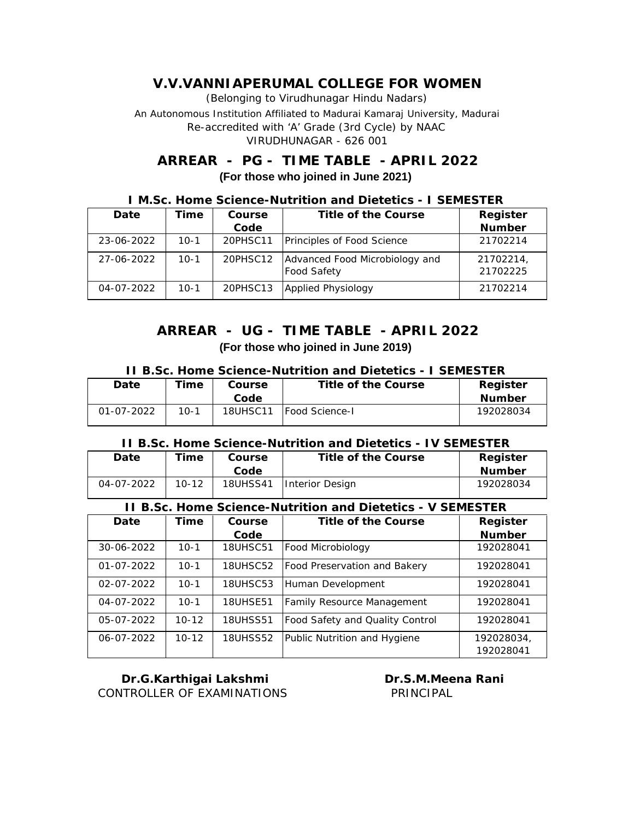# **ARREAR - PG - TIME TABLE - APRIL 2022 (For those who joined in June 2021)**

| <u> M.SC. HOME SCIENCE-NUMMUNION AND DIETELICS - I SEMESTER</u> |        |          |                                                      |                       |  |  |
|-----------------------------------------------------------------|--------|----------|------------------------------------------------------|-----------------------|--|--|
| Date                                                            | Time   | Course   | Title of the Course                                  | Register              |  |  |
|                                                                 |        | Code     |                                                      | Number                |  |  |
| 23-06-2022                                                      | 10-1   | 20PHSC11 | Principles of Food Science                           | 21702214              |  |  |
| 27-06-2022                                                      | $10-1$ | 20PHSC12 | Advanced Food Microbiology and<br><b>Food Safety</b> | 21702214,<br>21702225 |  |  |
| 04-07-2022                                                      | $10-1$ | 20PHSC13 | Applied Physiology                                   | 21702214              |  |  |

**I M.Sc. Home Science-Nutrition and Dietetics - I SEMESTER**

## **ARREAR - UG - TIME TABLE - APRIL 2022 (For those who joined in June 2019)**

| TT B.SC. HOME SCIENCE-NUTTITION and DIETETICS - I SEMESTER |        |          |                        |               |  |  |
|------------------------------------------------------------|--------|----------|------------------------|---------------|--|--|
| Date                                                       | īime   | Course   | Title of the Course    | Register      |  |  |
|                                                            |        | Code     |                        | <b>Number</b> |  |  |
| $01 - 07 - 2022$                                           | $10-1$ | 18UHSC11 | <b>IFood Science-I</b> | 192028034     |  |  |

#### **II B.Sc. Home Science-Nutrition and Dietetics - I SEMESTER**

**II B.Sc. Home Science-Nutrition and Dietetics - IV SEMESTER**

| Date                                                       | <b>fime</b> | Course          | Title of the Course | Register  |  |
|------------------------------------------------------------|-------------|-----------------|---------------------|-----------|--|
|                                                            |             | Code            |                     | Number    |  |
| 04-07-2022                                                 | $10 - 12$   | <b>18UHSS41</b> | Interior Design     | 192028034 |  |
| II B.Sc. Home Science-Nutrition and Dietetics - V SEMESTER |             |                 |                     |           |  |
| Date                                                       | Time        | Course          | Title of the Course | Register  |  |

| Date             | Time      | Course          | Title of the Course             | Register   |
|------------------|-----------|-----------------|---------------------------------|------------|
|                  |           | Code            |                                 | Number     |
| 30-06-2022       | $10-1$    | <b>18UHSC51</b> | Food Microbiology               | 192028041  |
| $01 - 07 - 2022$ | $10 - 1$  | <b>18UHSC52</b> | Food Preservation and Bakery    | 192028041  |
| $02 - 07 - 2022$ | $10 - 1$  | <b>18UHSC53</b> | Human Development               | 192028041  |
| $04 - 07 - 2022$ | $10-1$    | <b>18UHSE51</b> | Family Resource Management      | 192028041  |
| 05-07-2022       | $10 - 12$ | <b>18UHSS51</b> | Food Safety and Quality Control | 192028041  |
| $06 - 07 - 2022$ | $10 - 12$ | <b>18UHSS52</b> | Public Nutrition and Hygiene    | 192028034, |
|                  |           |                 |                                 | 192028041  |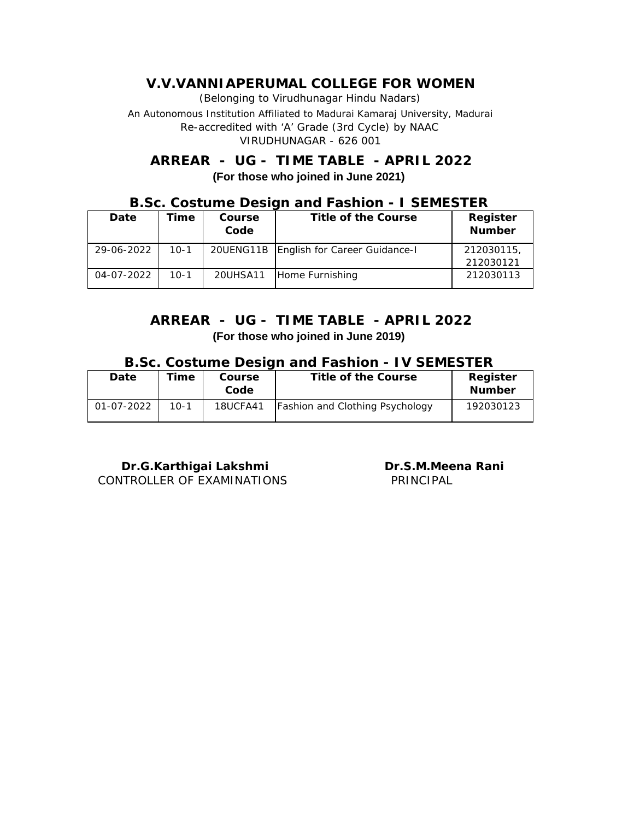# **ARREAR - UG - TIME TABLE - APRIL 2022 (For those who joined in June 2021)**

### **B.Sc. Costume Design and Fashion - I SEMESTER**

| Date       | Time     | Course<br>Code | Title of the Course                       | Register<br>Number     |
|------------|----------|----------------|-------------------------------------------|------------------------|
| 29-06-2022 | $10-1$   |                | 20UENG11B   English for Career Guidance-I | 212030115<br>212030121 |
| 04-07-2022 | $10 - 1$ | 20UHSA11       | Home Furnishing                           | 212030113              |

# **ARREAR - UG - TIME TABLE - APRIL 2022 (For those who joined in June 2019)**

#### **B.Sc. Costume Design and Fashion - IV SEMESTER**

| Date       | Time   | Course<br>Code | Title of the Course                    | Register<br><b>Number</b> |
|------------|--------|----------------|----------------------------------------|---------------------------|
| 01-07-2022 | $10-1$ | 18UCFA41       | <b>Fashion and Clothing Psychology</b> | 192030123                 |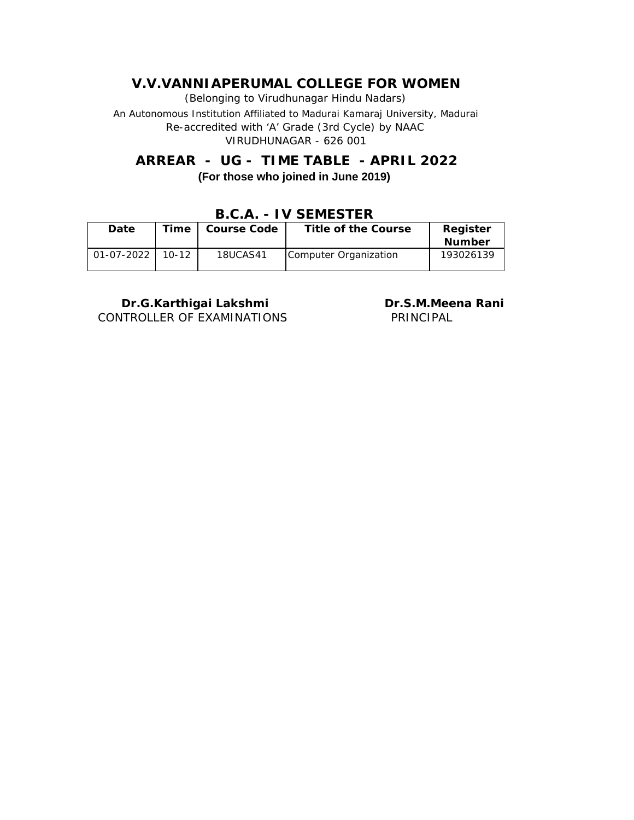(Belonging to Virudhunagar Hindu Nadars)

An Autonomous Institution Affiliated to Madurai Kamaraj University, Madurai *Re-accredited with 'A' Grade (3rd Cycle) by NAAC* VIRUDHUNAGAR - 626 001

**ARREAR - UG - TIME TABLE - APRIL 2022 (For those who joined in June 2019)**

|            |         | ----        | . <del>.</del>        |               |
|------------|---------|-------------|-----------------------|---------------|
| Date       | Time    | Course Code | Title of the Course   | Register      |
|            |         |             |                       | <b>Number</b> |
| 01-07-2022 | $10-12$ | 18UCAS41    | Computer Organization | 193026139     |

**B.C.A. - IV SEMESTER**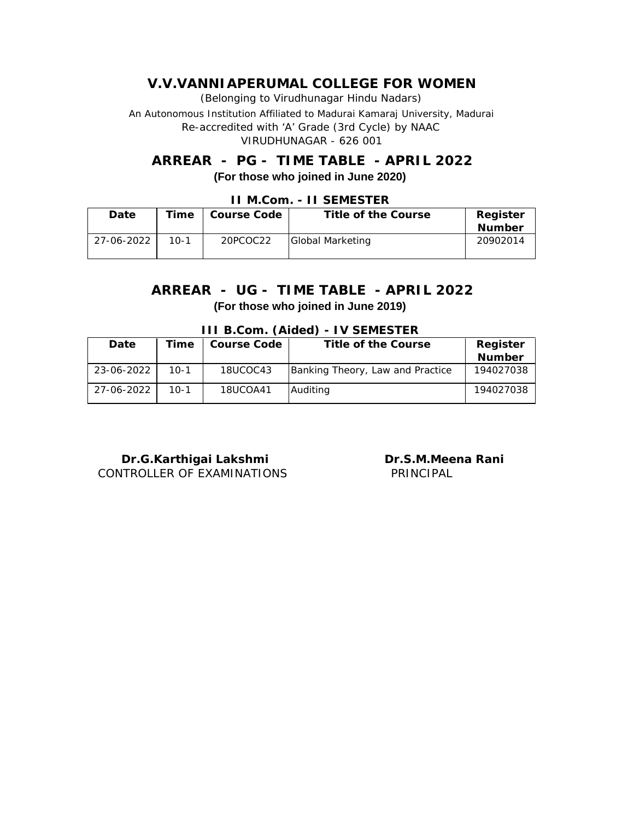(Belonging to Virudhunagar Hindu Nadars)

An Autonomous Institution Affiliated to Madurai Kamaraj University, Madurai *Re-accredited with 'A' Grade (3rd Cycle) by NAAC* VIRUDHUNAGAR - 626 001

**ARREAR - PG - TIME TABLE - APRIL 2022 (For those who joined in June 2020)**

| Date       | Time   | Course Code | Title of the Course | Register      |  |
|------------|--------|-------------|---------------------|---------------|--|
|            |        |             |                     | <b>Number</b> |  |
| 27-06-2022 | $10-1$ | 20PCOC22    | Global Marketing    | 20902014      |  |
|            |        |             |                     |               |  |

#### **II M.Com. - II SEMESTER**

### **ARREAR - UG - TIME TABLE - APRIL 2022 (For those who joined in June 2019)**

| TH D.COM. (AIGEG) - IV JEIVILJTEN |        |             |                                  |           |  |
|-----------------------------------|--------|-------------|----------------------------------|-----------|--|
| Date                              | Time   | Course Code | Title of the Course              | Register  |  |
|                                   |        |             |                                  | Number    |  |
| 23-06-2022                        | $10-1$ | 18UCOC43    | Banking Theory, Law and Practice | 194027038 |  |
| 27-06-2022                        | 10-1   | 18UCOA41    | Auditing                         | 194027038 |  |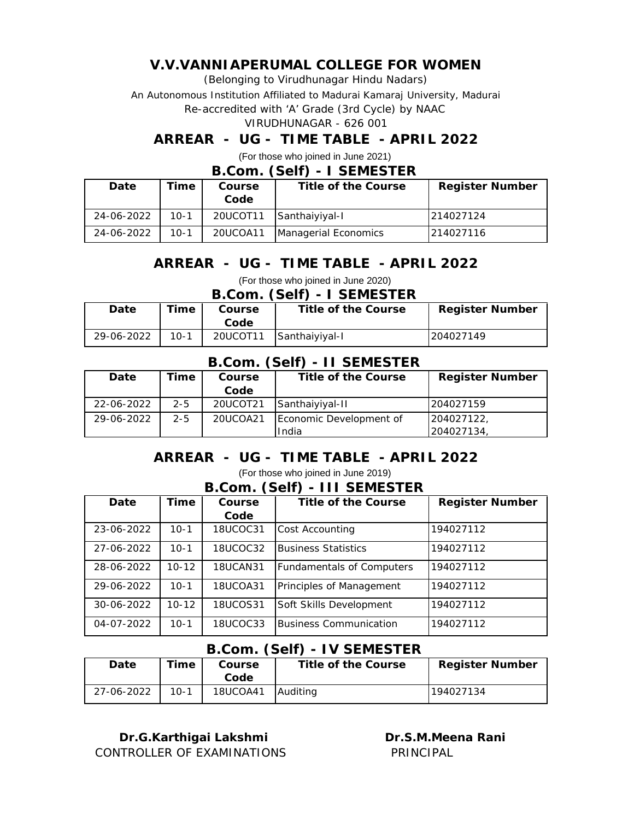(Belonging to Virudhunagar Hindu Nadars)

An Autonomous Institution Affiliated to Madurai Kamaraj University, Madurai

*Re-accredited with 'A' Grade (3rd Cycle) by NAAC*

#### VIRUDHUNAGAR - 626 001

### **ARREAR - UG - TIME TABLE - APRIL 2022**

(For those who joined in June 2021)

#### **B.Com. (Self) - I SEMESTER**

| Date       | Time   | Course<br>Code | Title of the Course  | Register Number |
|------------|--------|----------------|----------------------|-----------------|
| 24-06-2022 | $10-1$ | 20UCOT11       | Santhaiyiyal-I       | 214027124       |
| 24-06-2022 | $10-1$ | 20UCOA11       | Managerial Economics | 214027116       |

# **ARREAR - UG - TIME TABLE - APRIL 2022**

(For those who joined in June 2020)

**B.Com. (Self) - I SEMESTER**

| Date       | Time   | Coursel  | Title of the Course | Register Number |
|------------|--------|----------|---------------------|-----------------|
|            |        | Code     |                     |                 |
| 29-06-2022 | $10-1$ | 20UCOT11 | Santhaiyiyal-I      | 204027149       |

### **B.Com. (Self) - II SEMESTER**

| Date       | Time    | Course   | Title of the Course     | Register Number |
|------------|---------|----------|-------------------------|-----------------|
|            |         | Code     |                         |                 |
| 22-06-2022 | $2 - 5$ | 20UCOT21 | Santhaiyiyal-II         | 204027159       |
| 29-06-2022 | $2 - 5$ | 20UCOA21 | Economic Development of | 204027122       |
|            |         |          | India                   | 204027134       |

# **ARREAR - UG - TIME TABLE - APRIL 2022**

(For those who joined in June 2019)

#### **B.Com. (Self) - III SEMESTER**

| Date       | Time      | Course          | Title of the Course              | Register Number |
|------------|-----------|-----------------|----------------------------------|-----------------|
|            |           | Code            |                                  |                 |
| 23-06-2022 | $10 - 1$  | <b>18UCOC31</b> | Cost Accounting                  | 194027112       |
| 27-06-2022 | $10 - 1$  | 18UCOC32        | Business Statistics              | 194027112       |
| 28-06-2022 | $10 - 12$ | <b>18UCAN31</b> | <b>Fundamentals of Computers</b> | 194027112       |
| 29-06-2022 | $10 - 1$  | 18UCOA31        | Principles of Management         | 194027112       |
| 30-06-2022 | $10 - 12$ | 18UCOS31        | Soft Skills Development          | 194027112       |
| 04-07-2022 | $10 - 1$  | 18UCOC33        | <b>Business Communication</b>    | 194027112       |

### **B.Com. (Self) - IV SEMESTER**

| Date       | Time   | Course   | Title of the Course | Register Number |
|------------|--------|----------|---------------------|-----------------|
|            |        | Code     |                     |                 |
| 27-06-2022 | $10-1$ | 18UCOA41 | Auditina            | 194027134       |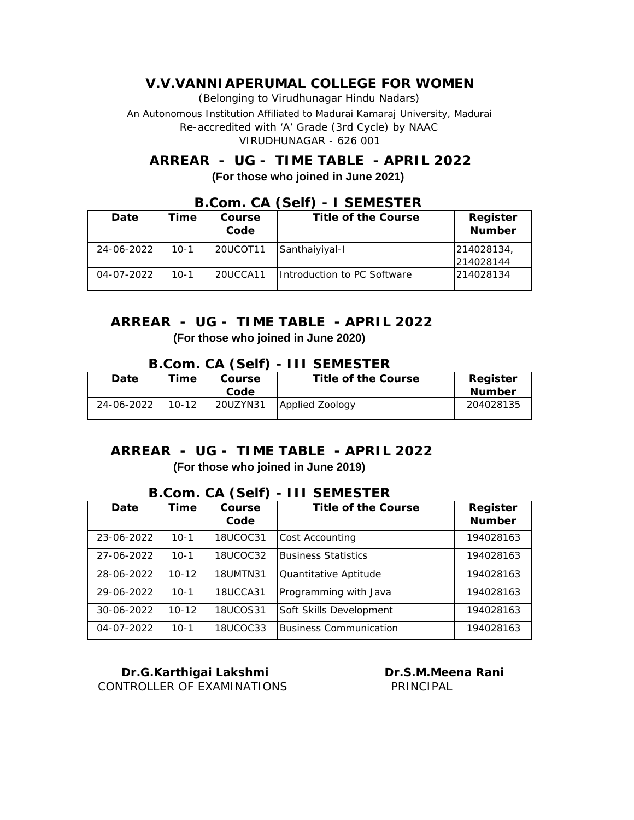# **ARREAR - UG - TIME TABLE - APRIL 2022 (For those who joined in June 2021)**

| Date       | 'ime   | Course<br>Code | Title of the Course         | Register<br>Number      |
|------------|--------|----------------|-----------------------------|-------------------------|
| 24-06-2022 | $10-1$ | 20UCOT11       | Santhaiyiyal-I              | 214028134,<br>214028144 |
| 04-07-2022 | $10-1$ | 20UCCA11       | Introduction to PC Software | 214028134               |

### **B.Com. CA (Self) - I SEMESTER**

# **ARREAR - UG - TIME TABLE - APRIL 2022 (For those who joined in June 2020)**

#### **B.Com. CA (Self) - III SEMESTER**

| Date       | Time.     | Course   | Title of the Course | Register  |
|------------|-----------|----------|---------------------|-----------|
|            |           | Code     |                     | Number    |
| 24-06-2022 | $10 - 12$ | 20UZYN31 | Applied Zoology     | 204028135 |

### **ARREAR - UG - TIME TABLE - APRIL 2022 (For those who joined in June 2019)**

#### **B.Com. CA (Self) - III SEMESTER**

| Date       | Time      | Course          | Title of the Course        | Register      |
|------------|-----------|-----------------|----------------------------|---------------|
|            |           | Code            |                            | <b>Number</b> |
| 23-06-2022 | $10 - 1$  | 18UCOC31        | Cost Accounting            | 194028163     |
| 27-06-2022 | $10-1$    | 18UCOC32        | <b>Business Statistics</b> | 194028163     |
| 28-06-2022 | $10 - 12$ | <b>18UMTN31</b> | Quantitative Aptitude      | 194028163     |
| 29-06-2022 | $10 - 1$  | 18UCCA31        | Programming with Java      | 194028163     |
| 30-06-2022 | $10 - 12$ | 18UCOS31        | Soft Skills Development    | 194028163     |
| 04-07-2022 | $10-1$    | 18UCOC33        | Business Communication     | 194028163     |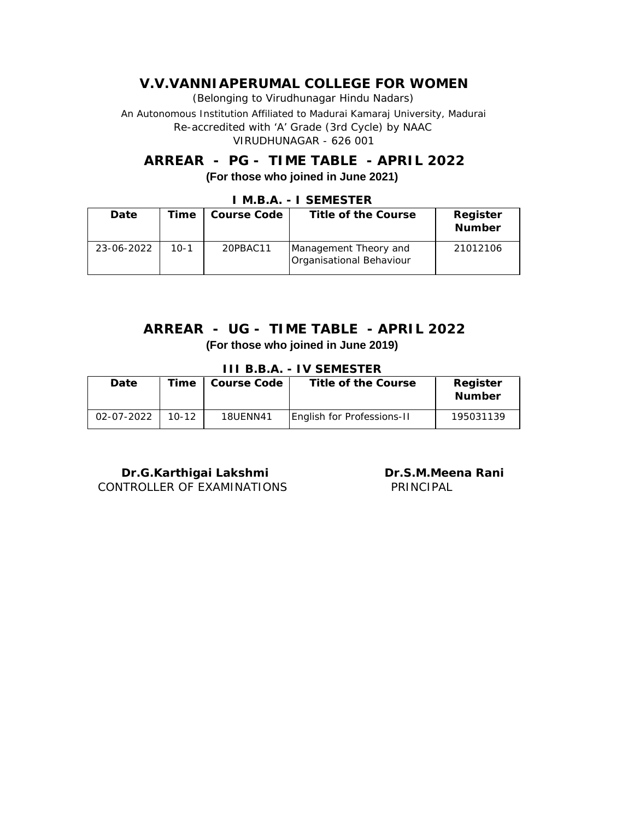**ARREAR - PG - TIME TABLE - APRIL 2022 (For those who joined in June 2021)**

| Date       | Гіmе   | Course Code | Title of the Course                               | Register<br>Number |
|------------|--------|-------------|---------------------------------------------------|--------------------|
| 23-06-2022 | $10-1$ | 20PBAC11    | Management Theory and<br>Organisational Behaviour | 21012106           |

### **I M.B.A. - I SEMESTER**

### **ARREAR - UG - TIME TABLE - APRIL 2022 (For those who joined in June 2019)**

**III B.B.A. - IV SEMESTER**

| Date       | $T$ ime   | Course Code     | Title of the Course        | Register<br>Number |
|------------|-----------|-----------------|----------------------------|--------------------|
| 02-07-2022 | $10 - 12$ | <b>18UENN41</b> | English for Professions-II | 195031139          |